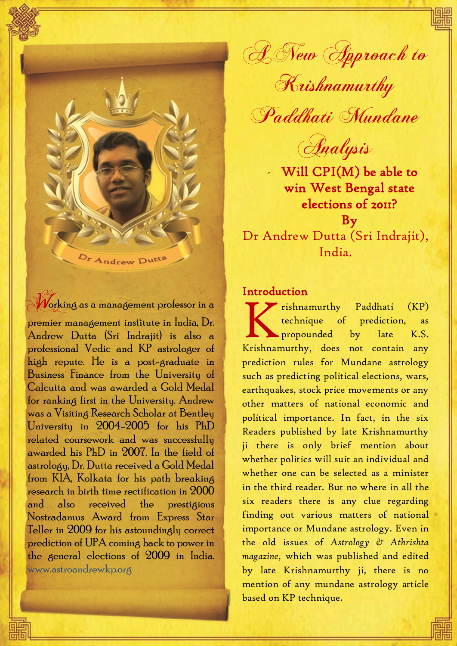Or Andrew Dutte

# Working as a management professor in a

premier management institute in India, Dr. Andrew Dutta (Sri Indrajit) is also a professional Vedic and KP astrologer of high repute. He is a post-graduate in Business Finance from the University of Calcutta and was awarded a Gold Medal for ranking first in the University. Andrew was a Visiting Research Scholar at Bentley University in 2004-2005 for his PhD related coursework and was successfully awarded his PhD in 2007. In the field of astrology, Dr. Dutta received a Gold Medal from KIA, Kolkata for his path breaking research in birth time rectification in 2000 and also received the prestigious Nostradamus Award from Express Star Teller in 2009 for his astoundingly correct prediction of UPA coming back to power in the general elections of 2009 in India. [www.astroandrewkp.org](http://www.astroandrewkp.org/)

A New Approach to Krishnamurthy

Paddhati Mundane

Analysis

Will CPI(M) be able to win West Bengal state elections of 2011? By Dr Andrew Dutta (Sri Indrajit), India.

## **Introduction**

1

rishnamurthy Paddhati (KP) technique of prediction, as **Expropounded** by late K.S. Krishnamurthy Paddhati (KP)<br>
technique of prediction, as<br>
propounded by late K.S.<br>
Krishnamurthy, does not contain any prediction rules for Mundane astrology such as predicting political elections, wars, earthquakes, stock price movements or any other matters of national economic and political importance. In fact, in the six Readers published by late Krishnamurthy ji there is only brief mention about whether politics will suit an individual and whether one can be selected as a minister in the third reader. But no where in all the six readers there is any clue regarding finding out various matters of national importance or Mundane astrology. Even in the old issues of *Astrology & Athrishta magazine*, which was published and edited by late Krishnamurthy ji, there is no mention of any mundane astrology article based on KP technique.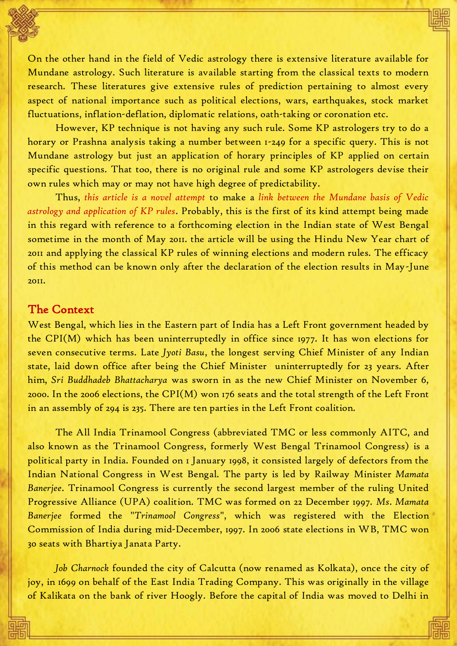On the other hand in the field of Vedic astrology there is extensive literature available for Mundane astrology. Such literature is available starting from the classical texts to modern research. These literatures give extensive rules of prediction pertaining to almost every aspect of national importance such as political elections, wars, earthquakes, stock market fluctuations, inflation-deflation, diplomatic relations, oath-taking or coronation etc.

However, KP technique is not having any such rule. Some KP astrologers try to do a horary or Prashna analysis taking a number between 1-249 for a specific query. This is not Mundane astrology but just an application of horary principles of KP applied on certain specific questions. That too, there is no original rule and some KP astrologers devise their own rules which may or may not have high degree of predictability.

Thus, *this article is a novel attempt* to make a *link between the Mundane basis of Vedic astrology and application of KP rules*. Probably, this is the first of its kind attempt being made in this regard with reference to a forthcoming election in the Indian state of West Bengal sometime in the month of May 2011. the article will be using the Hindu New Year chart of 2011 and applying the classical KP rules of winning elections and modern rules. The efficacy of this method can be known only after the declaration of the election results in May-June 2011.

#### The Context

West Bengal, which lies in the Eastern part of India has a Left Front government headed by the CPI(M) which has been uninterruptedly in office since 1977. It has won elections for seven consecutive terms. Late *Jyoti Basu*, the longest serving Chief Minister of any Indian state, laid down office after being the Chief Minister uninterruptedly for 23 years. After him, *Sri Buddhadeb Bhattacharya* was sworn in as the new Chief Minister on November 6, 2000. In the 2006 elections, the CPI(M) won 176 seats and the total strength of the Left Front in an assembly of 294 is 235. There are ten parties in the Left Front coalition.

The All India Trinamool Congress (abbreviated TMC or less commonly AITC, and also known as the Trinamool Congress, formerly West Bengal Trinamool Congress) is a [political party](http://en.wikipedia.org/wiki/Political_party) in [India.](http://en.wikipedia.org/wiki/India) Founded on 1 January 1998, it consisted largely of defectors from the [Indian National Congress](http://en.wikipedia.org/wiki/Indian_National_Congress) in West Bengal. The party is led by [Railway Minister](http://en.wikipedia.org/wiki/Minister_of_Railways_(India)) *Mamata Banerjee*. Trinamool Congress is currently the second largest member of the ruling United Progressive Alliance (UPA) coalition. TMC was formed on 22 December 1997. *Ms*. *Mamata Banerjee* formed the "*Trinamool Congress*", which was registered with the Election Commission of India during mid-December, 1997. In 2006 state elections in WB, TMC won 30 seats with Bhartiya Janata Party.

*Job Charnock* founded the city of Calcutta (now renamed as Kolkata), once the city of joy, in 1699 on behalf of the East India Trading Company. This was originally in the village of Kalikata on the bank of river Hoogly. Before the capital of India was moved to Delhi in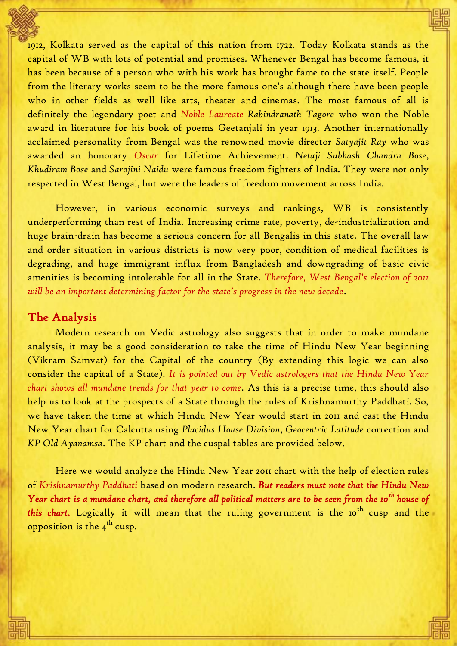1912, Kolkata served as the capital of this nation from 1722. Today Kolkata stands as the capital of WB with lots of potential and promises. Whenever Bengal has become famous, it has been because of a person who with his work has brought fame to the state itself. People from the literary works seem to be the more famous one's although there have been people who in other fields as well like arts, theater and cinemas. The most famous of all is definitely the legendary poet and *Noble Laureate Rabindranath Tagore* who won the Noble award in literature for his book of poems Geetanjali in year 1913. Another internationally acclaimed personality from Bengal was the renowned movie director *Satyajit Ray* who was awarded an honorary *Oscar* for Lifetime Achievement. *Netaji Subhash Chandra Bose*, *Khudiram Bose* and *Sarojini Naidu* were famous freedom fighters of India. They were not only respected in West Bengal, but were the leaders of freedom movement across India.

However, in various economic surveys and rankings, WB is consistently underperforming than rest of India. Increasing crime rate, poverty, de-industrialization and huge brain-drain has become a serious concern for all Bengalis in this state. The overall law and order situation in various districts is now very poor, condition of medical facilities is degrading, and huge immigrant influx from Bangladesh and downgrading of basic civic amenities is becoming intolerable for all in the State. *Therefore, West Bengal's election of 2011 will be an important determining factor for the state's progress in the new decade*.

## The Analysis

Modern research on Vedic astrology also suggests that in order to make mundane analysis, it may be a good consideration to take the time of Hindu New Year beginning (Vikram Samvat) for the Capital of the country (By extending this logic we can also consider the capital of a State). *It is pointed out by Vedic astrologers that the Hindu New Year chart shows all mundane trends for that year to come.* As this is a precise time, this should also help us to look at the prospects of a State through the rules of Krishnamurthy Paddhati. So, we have taken the time at which Hindu New Year would start in 2011 and cast the Hindu New Year chart for Calcutta using *Placidus House Division*, *Geocentric Latitude* correction and *KP Old Ayanamsa*. The KP chart and the cuspal tables are provided below.

Here we would analyze the Hindu New Year 2011 chart with the help of election rules of *Krishnamurthy Paddhati* based on modern research. *But readers must note that the Hindu New Year chart is a mundane chart, and therefore all political matters are to be seen from the 10th house of this chart.* Logically it will mean that the ruling government is the 10<sup>th</sup> cusp and the opposition is the 4 $^{\rm th}$  cusp.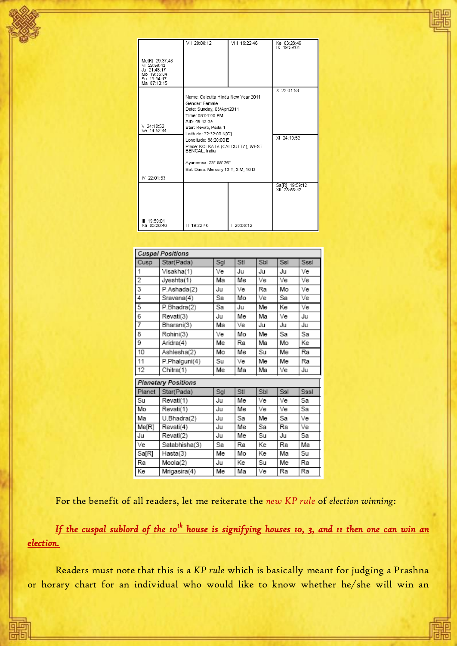| Me[R] 29:37:43<br>VI 23:56:42<br>Ju 21:48:17<br>Mo 19:35:04<br>Su 19:34:17<br>Ma 07:10:15 | VII 20:08:12                                                                                                                                                               | VIII 19:22:46 | Ke 03:28:46<br>IX 19:59:01     |
|-------------------------------------------------------------------------------------------|----------------------------------------------------------------------------------------------------------------------------------------------------------------------------|---------------|--------------------------------|
| $V$ 24:10:52<br>Ve 14:52:44                                                               | Name: Calcutta Hindu New Year 2011<br>Gender: Female<br>Date: Sunday, 03/Apr/2011<br>Time: 08:04:00 PM<br>SID: 09:13:39<br>Star: Revati, Pada 1<br>Latitude: 22:32:00 NIGI | X 22:01:53    |                                |
|                                                                                           | Longitude: 88:20:00 E<br>Place: KOLKATA (CALCUTTA), WEST<br>BENGAL, India<br>Avanamsa: 23° 55' 26"<br>Bal. Dasa: Mercury 13 Y, 3 M, 10 D                                   | XI 24:10:52   |                                |
| IV 22:01:53                                                                               |                                                                                                                                                                            |               |                                |
|                                                                                           |                                                                                                                                                                            |               | Sa[R] 19:59:12<br>XII 23:56:42 |
| III 19:59:01<br>Ra 03:28:46                                                               | II 19:22:46                                                                                                                                                                | 20:08:12      |                                |

| <b>Cuspal Positions</b>    |               |     |     |     |     |      |  |  |
|----------------------------|---------------|-----|-----|-----|-----|------|--|--|
| Cusp                       | Star(Pada)    | Sgl | Stl | Sbl | Ssl | Sssl |  |  |
| 1                          | Visakha(1)    | Ve  | Ju  | Ju  | Ju  | Ve   |  |  |
| 2                          | Jyeshta(1)    | Мa  | Me  | Ve  | Ve  | Ve   |  |  |
| 3                          | P.Ashada(2)   | Ju  | Ve  | Ra  | Mo  | Ve   |  |  |
| 4                          | Sravana(4)    | Sa  | Mo  | Ve  | Sa  | Ve   |  |  |
| 5                          | P.Bhadra(2)   | Sa  | Ju  | Me  | Кe  | Ve   |  |  |
| 6                          | Revati(3)     | Ju  | Me  | Ма  | Ve  | Ju   |  |  |
| 7                          | Bharani(3)    | Мa  | Ve  | Ju  | Ju  | Ju   |  |  |
| 8                          | Rohini(3)     | Ve  | Mo  | Me  | Sa  | Sa   |  |  |
| 9                          | Aridra(4)     | Me  | Ra  | Ма  | Mo  | Кe   |  |  |
| 10                         | Ashlesha(2)   | Mo  | Me  | Su  | Me  | Ra   |  |  |
| 11                         | P.Phalquni(4) | Su  | Ve  | Me  | Me  | Ra   |  |  |
| 12                         | Chitra(1)     | Me  | Ma  | Ma  | Ve  | Ju   |  |  |
| <b>Planetary Positions</b> |               |     |     |     |     |      |  |  |
| Planet                     | Star(Pada)    | Sgl | Stl | Sbl | Ssl | Sssl |  |  |
| Su                         | Revati(1)     | Ju  | Me  | Ve  | Ve  | Sa   |  |  |
| Mo                         | Revati(1)     | Ju  | Me  | Ve  | Ve  | Sа   |  |  |
| Ма                         | U.Bhadra(2)   | Ju  | Sa  | Me  | Sа  | Ve   |  |  |
| Me[R]                      | Revati(4)     | Ju  | Me  | Sa  | Ra  | Ve   |  |  |
| Ju                         | Revati(2)     | Ju  | Me  | Su  | Ju  | Sa   |  |  |
| Ve                         | Satabhisha(3) | Sa  | Ra  | Кe  | Ra  | Ma   |  |  |
| Sa[R]                      | Hasta(3)      | Me  | Mo  | Кe  | Ma  | Su   |  |  |
| Ra                         | Moola(2)      | Ju  | Кe  | Su  | Me  | Ra   |  |  |
| l Ke                       | Mrigasira(4)  | Me  | Ma  | Ve  | Ra  | Ra   |  |  |

For the benefit of all readers, let me reiterate the *new KP rule* of *election winning*:

If the cuspal sublord of the 10<sup>th</sup> house is signifying houses 10, 3, and 11 then one can win an *election.*

Readers must note that this is a *KP rule* which is basically meant for judging a Prashna or horary chart for an individual who would like to know whether he/she will win an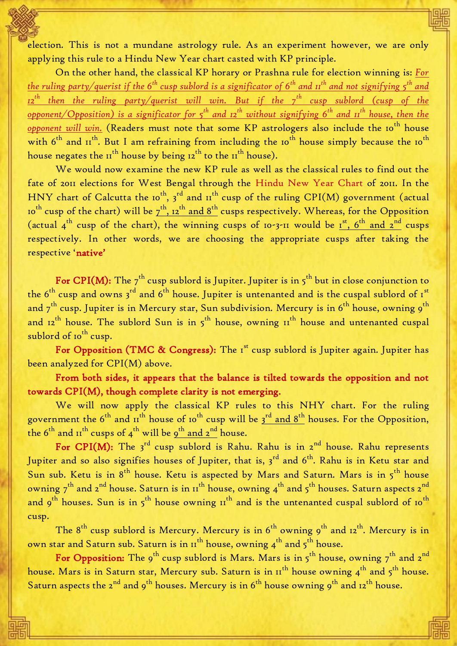election. This is not a mundane astrology rule. As an experiment however, we are only applying this rule to a Hindu New Year chart casted with KP principle.

On the other hand, the classical KP horary or Prashna rule for election winning is: *For the ruling party/querist if the 6th cusp sublord is a significator of 6th and 11 th and not signifying 5th and 12 th then the ruling party/querist will win. But if the 7th cusp sublord (cusp of the opponent/Opposition) is a significator for 5th and 12th without signifying 6th and 11th house, then the*  opponent will win. (Readers must note that some KP astrologers also include the 10<sup>th</sup> house with 6<sup>th</sup> and II<sup>th</sup>. But I am refraining from including the 10<sup>th</sup> house simply because the 10<sup>th</sup> house negates the  $II^{th}$  house by being  $I_2^{th}$  to the  $II^{th}$  house).

We would now examine the new KP rule as well as the classical rules to find out the fate of 2011 elections for West Bengal through the Hindu New Year Chart of 2011. In the HNY chart of Calcutta the 10<sup>th</sup>, 3<sup>rd</sup> and 11<sup>th</sup> cusp of the ruling CPI(M) government (actual 10<sup>th</sup> cusp of the chart) will be  $\frac{1}{2}$ th, 12<sup>th</sup> and 8<sup>th</sup> cusps respectively. Whereas, for the Opposition (actual  $4^{\text{th}}$  cusp of the chart), the winning cusps of 10-3-11 would be  $1^{\text{st}}$ ,  $6^{\text{th}}$  and  $2^{\text{nd}}$  cusps respectively. In other words, we are choosing the appropriate cusps after taking the respective 'native'

For CPI(M): The  $7^{th}$  cusp sublord is Jupiter. Jupiter is in  $5^{th}$  but in close conjunction to the 6<sup>th</sup> cusp and owns 3<sup>rd</sup> and 6<sup>th</sup> house. Jupiter is untenanted and is the cuspal sublord of 1<sup>st</sup> and 7 $^{\rm th}$  cusp. Jupiter is in Mercury star, Sun subdivision. Mercury is in 6 $^{\rm th}$  house, owning 9 $^{\rm th}$ and  $12^{th}$  house. The sublord Sun is in  $5^{th}$  house, owning  $11^{th}$  house and untenanted cuspal sublord of 10<sup>th</sup> cusp.

For Opposition (TMC & Congress): The  $I<sup>st</sup>$  cusp sublord is Jupiter again. Jupiter has been analyzed for CPI(M) above.

From both sides, it appears that the balance is tilted towards the opposition and not towards CPI(M), though complete clarity is not emerging.

 We will now apply the classical KP rules to this NHY chart. For the ruling government the  $6^{\rm th}$  and  $\pi^{\rm th}$  house of 10 $^{\rm th}$  cusp will be  $3^{\rm rd}$  and  $8^{\rm th}$  houses. For the Opposition, the 6 $^{\rm th}$  and 11 $^{\rm th}$  cusps of 4 $^{\rm th}$  will be <u>9 $^{\rm th}$  and 2 $^{\rm nd}$ </u> house.

For CPI(M): The  $3^{rd}$  cusp sublord is Rahu. Rahu is in  $2^{nd}$  house. Rahu represents Jupiter and so also signifies houses of Jupiter, that is, 3<sup>rd</sup> and 6<sup>th</sup>. Rahu is in Ketu star and Sun sub. Ketu is in  $8^{th}$  house. Ketu is aspected by Mars and Saturn. Mars is in  $5^{th}$  house owning  $7^{th}$  and  $2^{nd}$  house. Saturn is in  $11^{th}$  house, owning  $4^{th}$  and  $5^{th}$  houses. Saturn aspects  $2^{nd}$ and  $9^{th}$  houses. Sun is in  $5^{th}$  house owning  $11^{th}$  and is the untenanted cuspal sublord of  $10^{th}$ cusp.

The  $8^{th}$  cusp sublord is Mercury. Mercury is in  $6^{th}$  owning  $9^{th}$  and  $12^{th}$ . Mercury is in own star and Saturn sub. Saturn is in  $\pi^{th}$  house, owning  $\boldsymbol{4}^{th}$  and  $\boldsymbol{5}^{th}$  house.

For Opposition: The 9<sup>th</sup> cusp sublord is Mars. Mars is in  $5^{th}$  house, owning  $7^{th}$  and  $2^{nd}$ house. Mars is in Saturn star, Mercury sub. Saturn is in  $11^{th}$  house owning  $4^{th}$  and  $5^{th}$  house. Saturn aspects the  $2^{nd}$  and  $9^{th}$  houses. Mercury is in  $6^{th}$  house owning  $9^{th}$  and  $12^{th}$  house.